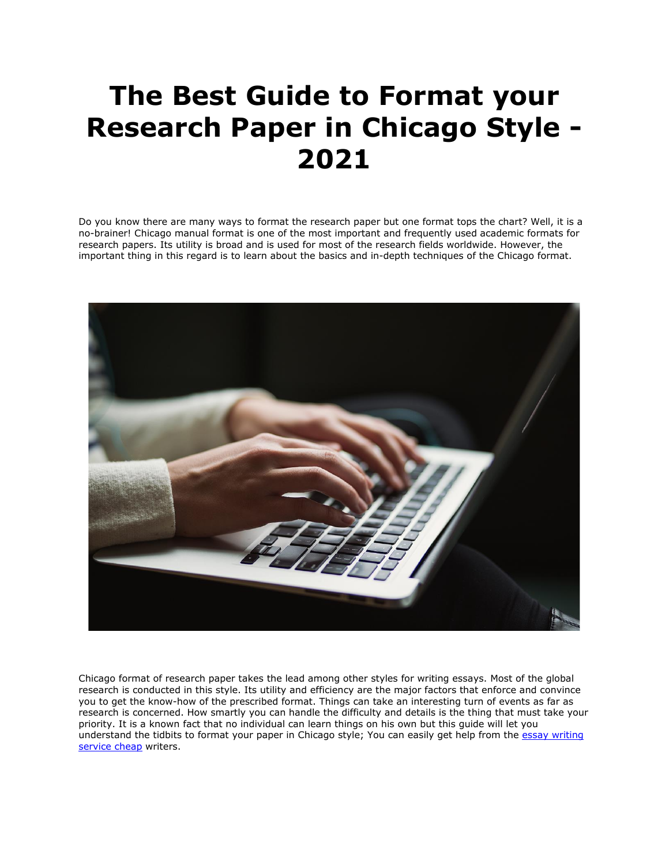## **The Best Guide to Format your Research Paper in Chicago Style - 2021**

Do you know there are many ways to format the research paper but one format tops the chart? Well, it is a no-brainer! Chicago manual format is one of the most important and frequently used academic formats for research papers. Its utility is broad and is used for most of the research fields worldwide. However, the important thing in this regard is to learn about the basics and in-depth techniques of the Chicago format.



Chicago format of research paper takes the lead among other styles for writing essays. Most of the global research is conducted in this style. Its utility and efficiency are the major factors that enforce and convince you to get the know-how of the prescribed format. Things can take an interesting turn of events as far as research is concerned. How smartly you can handle the difficulty and details is the thing that must take your priority. It is a known fact that no individual can learn things on his own but this guide will let you understand the tidbits to format your paper in Chicago style; You can easily get help from the essay writing [service cheap](https://essayhours.com/) writers.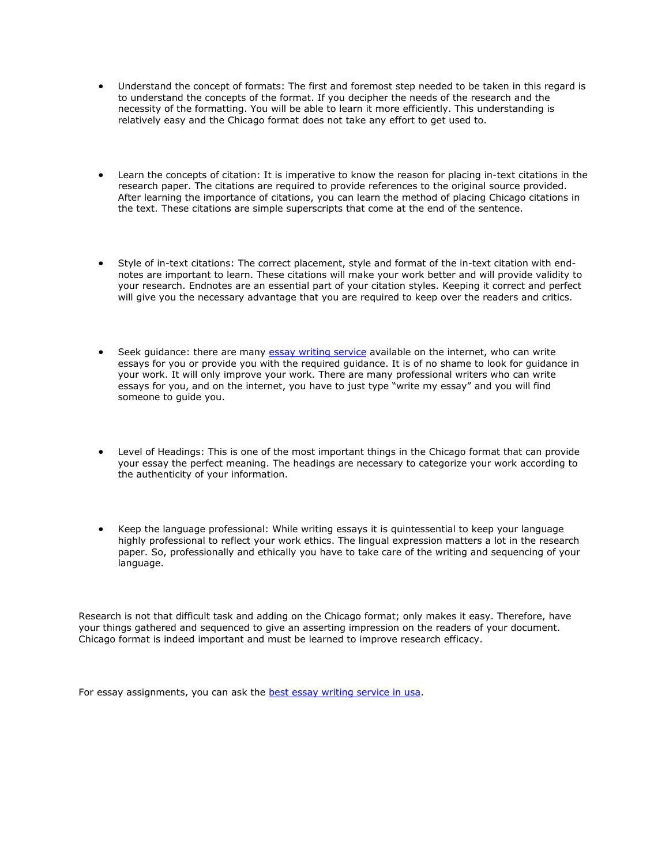- Understand the concept of formats: The first and foremost step needed to be taken in this regard is to understand the concepts of the format. If you decipher the needs of the research and the necessity of the formatting. You will be able to learn it more efficiently. This understanding is relatively easy and the Chicago format does not take any effort to get used to.
- Learn the concepts of citation: It is imperative to know the reason for placing in-text citations in the research paper. The citations are required to provide references to the original source provided. After learning the importance of citations, you can learn the method of placing Chicago citations in the text. These citations are simple superscripts that come at the end of the sentence.
- Style of in-text citations: The correct placement, style and format of the in-text citation with endnotes are important to learn. These citations will make your work better and will provide validity to your research. Endnotes are an essential part of your citation styles. Keeping it correct and perfect will give you the necessary advantage that you are required to keep over the readers and critics.
- Seek quidance: there are many [essay writing service](https://www.sharkpapers.com/) available on the internet, who can write essays for you or provide you with the required guidance. It is of no shame to look for guidance in your work. It will only improve your work. There are many professional writers who can write essays for you, and on the internet, you have to just type "write my essay" and you will find someone to guide you.
- Level of Headings: This is one of the most important things in the Chicago format that can provide your essay the perfect meaning. The headings are necessary to categorize your work according to the authenticity of your information.
- Keep the language professional: While writing essays it is quintessential to keep your language highly professional to reflect your work ethics. The lingual expression matters a lot in the research paper. So, professionally and ethically you have to take care of the writing and sequencing of your language.

Research is not that difficult task and adding on the Chicago format; only makes it easy. Therefore, have your things gathered and sequenced to give an asserting impression on the readers of your document. Chicago format is indeed important and must be learned to improve research efficacy.

For essay assignments, you can ask the **best essay writing service in usa**.